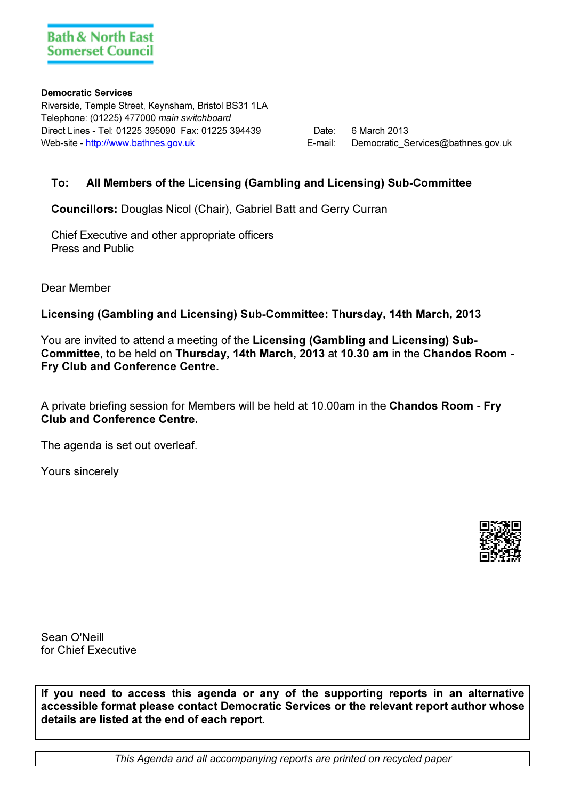#### Democratic Services

Riverside, Temple Street, Keynsham, Bristol BS31 1LA Telephone: (01225) 477000 main switchboard Direct Lines - Tel: 01225 395090 Fax: 01225 394439 Date: 6 March 2013 Web-site - http://www.bathnes.gov.uk example and the services of the E-mail: Democratic Services@bathnes.gov.uk

## To: All Members of the Licensing (Gambling and Licensing) Sub-Committee

Councillors: Douglas Nicol (Chair), Gabriel Batt and Gerry Curran

Chief Executive and other appropriate officers Press and Public

Dear Member

Licensing (Gambling and Licensing) Sub-Committee: Thursday, 14th March, 2013

You are invited to attend a meeting of the Licensing (Gambling and Licensing) Sub-Committee, to be held on Thursday, 14th March, 2013 at 10.30 am in the Chandos Room - Fry Club and Conference Centre.

A private briefing session for Members will be held at 10.00am in the Chandos Room - Fry Club and Conference Centre.

The agenda is set out overleaf.

Yours sincerely



Sean O'Neill for Chief Executive

If you need to access this agenda or any of the supporting reports in an alternative accessible format please contact Democratic Services or the relevant report author whose details are listed at the end of each report.

This Agenda and all accompanying reports are printed on recycled paper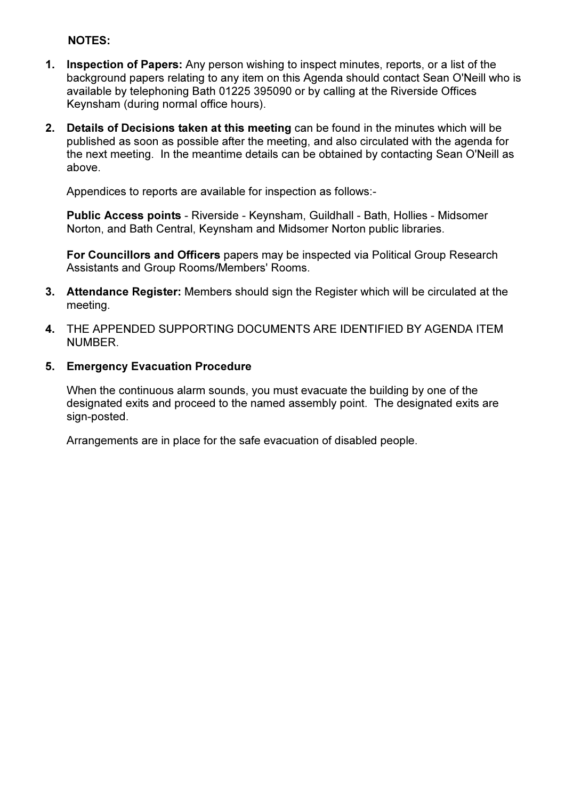### NOTES:

- 1. Inspection of Papers: Any person wishing to inspect minutes, reports, or a list of the background papers relating to any item on this Agenda should contact Sean O'Neill who is available by telephoning Bath 01225 395090 or by calling at the Riverside Offices Keynsham (during normal office hours).
- 2. Details of Decisions taken at this meeting can be found in the minutes which will be published as soon as possible after the meeting, and also circulated with the agenda for the next meeting. In the meantime details can be obtained by contacting Sean O'Neill as above.

Appendices to reports are available for inspection as follows:-

Public Access points - Riverside - Keynsham, Guildhall - Bath, Hollies - Midsomer Norton, and Bath Central, Keynsham and Midsomer Norton public libraries.

For Councillors and Officers papers may be inspected via Political Group Research Assistants and Group Rooms/Members' Rooms.

- 3. Attendance Register: Members should sign the Register which will be circulated at the meeting.
- 4. THE APPENDED SUPPORTING DOCUMENTS ARE IDENTIFIED BY AGENDA ITEM NUMBER.

#### 5. Emergency Evacuation Procedure

When the continuous alarm sounds, you must evacuate the building by one of the designated exits and proceed to the named assembly point. The designated exits are sign-posted.

Arrangements are in place for the safe evacuation of disabled people.